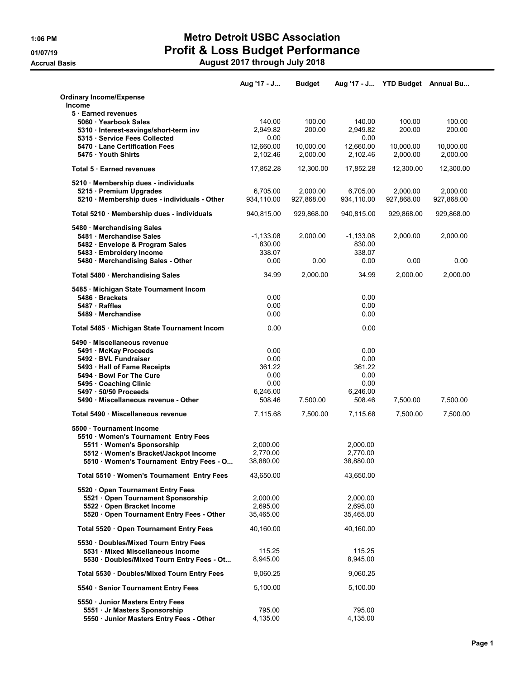## 1:06 PM Metro Detroit USBC Association 01/07/19 **Profit & Loss Budget Performance**

Accrual Basis August 2017 through July 2018

|                                                                                   | Aug '17 - J            | <b>Budget</b>          |                        | Aug '17 - J YTD Budget Annual Bu |                        |
|-----------------------------------------------------------------------------------|------------------------|------------------------|------------------------|----------------------------------|------------------------|
| <b>Ordinary Income/Expense</b>                                                    |                        |                        |                        |                                  |                        |
| <b>Income</b><br>5 Earned revenues                                                |                        |                        |                        |                                  |                        |
| 5060 · Yearbook Sales                                                             | 140.00                 | 100.00                 | 140.00                 | 100.00                           | 100.00                 |
| 5310 · Interest-savings/short-term inv<br>5315 Service Fees Collected             | 2,949.82<br>0.00       | 200.00                 | 2,949.82<br>0.00       | 200.00                           | 200.00                 |
| 5470 Lane Certification Fees                                                      | 12,660.00              | 10,000.00              | 12,660.00              | 10,000.00                        | 10,000.00              |
| 5475 Youth Shirts                                                                 | 2,102.46               | 2,000.00               | 2,102.46               | 2,000.00                         | 2,000.00               |
| <b>Total 5 Earned revenues</b>                                                    | 17,852.28              | 12,300.00              | 17,852.28              | 12,300.00                        | 12,300.00              |
| 5210 · Membership dues - individuals                                              |                        |                        |                        |                                  |                        |
| 5215 · Premium Upgrades<br>5210 · Membership dues - individuals - Other           | 6,705.00<br>934,110.00 | 2,000.00<br>927,868.00 | 6,705.00<br>934,110.00 | 2.000.00<br>927,868.00           | 2,000.00<br>927,868.00 |
|                                                                                   |                        |                        |                        |                                  |                        |
| Total 5210 · Membership dues - individuals                                        | 940,815.00             | 929,868.00             | 940,815.00             | 929,868.00                       | 929,868.00             |
| 5480 · Merchandising Sales                                                        | $-1,133.08$            | 2,000.00               | $-1,133.08$            | 2,000.00                         | 2,000.00               |
| 5481 Merchandise Sales<br>5482 Envelope & Program Sales                           | 830.00                 |                        | 830.00                 |                                  |                        |
| 5483 · Embroidery Income                                                          | 338.07                 |                        | 338.07                 |                                  |                        |
| 5480 · Merchandising Sales - Other                                                | 0.00                   | 0.00                   | 0.00                   | 0.00                             | 0.00                   |
| Total 5480 · Merchandising Sales                                                  | 34.99                  | 2,000.00               | 34.99                  | 2.000.00                         | 2,000.00               |
| 5485 · Michigan State Tournament Incom                                            |                        |                        |                        |                                  |                        |
| 5486 · Brackets                                                                   | 0.00                   |                        | 0.00                   |                                  |                        |
| 5487 · Raffles<br>5489 Merchandise                                                | 0.00<br>0.00           |                        | 0.00<br>0.00           |                                  |                        |
| Total 5485 · Michigan State Tournament Incom                                      | 0.00                   |                        | 0.00                   |                                  |                        |
|                                                                                   |                        |                        |                        |                                  |                        |
| 5490 Miscellaneous revenue<br>5491 McKay Proceeds                                 | 0.00                   |                        | 0.00                   |                                  |                        |
| 5492 · BVL Fundraiser                                                             | 0.00                   |                        | 0.00                   |                                  |                        |
| 5493 · Hall of Fame Receipts                                                      | 361.22                 |                        | 361.22                 |                                  |                        |
| 5494 Bowl For The Cure                                                            | 0.00                   |                        | 0.00                   |                                  |                        |
| 5495 Coaching Clinic<br>5497 · 50/50 Proceeds                                     | 0.00<br>6,246.00       |                        | 0.00<br>6,246.00       |                                  |                        |
| 5490 · Miscellaneous revenue - Other                                              | 508.46                 | 7,500.00               | 508.46                 | 7,500.00                         | 7,500.00               |
| Total 5490 · Miscellaneous revenue                                                | 7,115.68               | 7,500.00               | 7,115.68               | 7.500.00                         | 7,500.00               |
| 5500 Tournament Income                                                            |                        |                        |                        |                                  |                        |
| 5510 Women's Tournament Entry Fees                                                |                        |                        |                        |                                  |                        |
| 5511 · Women's Sponsorship                                                        | 2,000.00               |                        | 2,000.00               |                                  |                        |
| 5512 · Women's Bracket/Jackpot Income<br>5510 · Women's Tournament Entry Fees - O | 2.770.00<br>38,880.00  |                        | 2,770.00<br>38,880.00  |                                  |                        |
| Total 5510 · Women's Tournament Entry Fees                                        | 43,650.00              |                        | 43,650.00              |                                  |                        |
|                                                                                   |                        |                        |                        |                                  |                        |
| 5520 Open Tournament Entry Fees<br>5521 Open Tournament Sponsorship               | 2,000.00               |                        | 2,000.00               |                                  |                        |
| 5522 Open Bracket Income                                                          | 2,695.00               |                        | 2,695.00               |                                  |                        |
| 5520 Open Tournament Entry Fees - Other                                           | 35,465.00              |                        | 35,465.00              |                                  |                        |
| Total 5520 · Open Tournament Entry Fees                                           | 40,160.00              |                        | 40,160.00              |                                  |                        |
| 5530 · Doubles/Mixed Tourn Entry Fees                                             |                        |                        |                        |                                  |                        |
| 5531 Mixed Miscellaneous Income                                                   | 115.25                 |                        | 115.25                 |                                  |                        |
| 5530 · Doubles/Mixed Tourn Entry Fees - Ot                                        | 8,945.00               |                        | 8,945.00               |                                  |                        |
| Total 5530 · Doubles/Mixed Tourn Entry Fees                                       | 9,060.25               |                        | 9,060.25               |                                  |                        |
| 5540 · Senior Tournament Entry Fees                                               | 5,100.00               |                        | 5,100.00               |                                  |                        |
| 5550 · Junior Masters Entry Fees                                                  |                        |                        |                        |                                  |                        |
| 5551 · Jr Masters Sponsorship                                                     | 795.00                 |                        | 795.00                 |                                  |                        |
| 5550 · Junior Masters Entry Fees - Other                                          | 4,135.00               |                        | 4,135.00               |                                  |                        |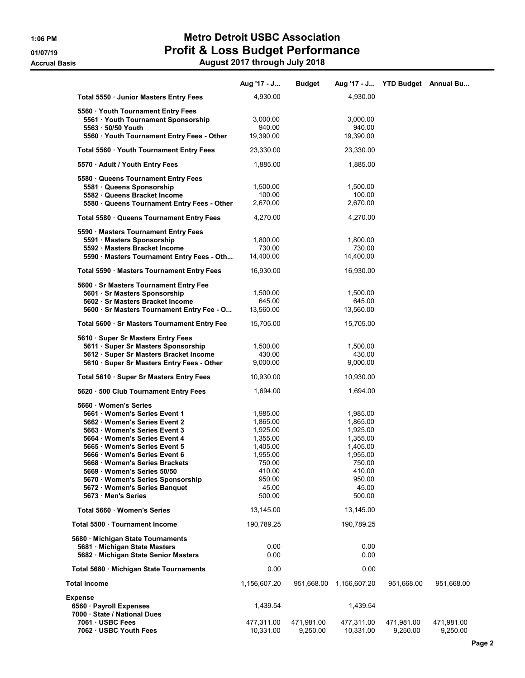# 1:06 PM Metro Detroit USBC Association 01/07/19 Profit & Loss Budget Performance

|  | August 2017 through July 2018 |  |
|--|-------------------------------|--|

|                                                                       | Aug '17 - J          | <b>Budget</b> |                      | Aug '17 - J YTD Budget Annual Bu |            |
|-----------------------------------------------------------------------|----------------------|---------------|----------------------|----------------------------------|------------|
| Total 5550 · Junior Masters Entry Fees                                | 4,930.00             |               | 4,930.00             |                                  |            |
| 5560 Youth Tournament Entry Fees                                      |                      |               |                      |                                  |            |
| 5561 Youth Tournament Sponsorship                                     | 3,000.00             |               | 3,000.00             |                                  |            |
| 5563 - 50/50 Youth                                                    | 940.00               |               | 940.00               |                                  |            |
| 5560 · Youth Tournament Entry Fees - Other                            | 19,390.00            |               | 19,390.00            |                                  |            |
| Total 5560 · Youth Tournament Entry Fees                              | 23,330.00            |               | 23,330.00            |                                  |            |
| 5570 · Adult / Youth Entry Fees                                       | 1,885.00             |               | 1,885.00             |                                  |            |
| 5580 Queens Tournament Entry Fees                                     |                      |               |                      |                                  |            |
| 5581 · Queens Sponsorship                                             | 1,500.00             |               | 1,500.00             |                                  |            |
| 5582 Queens Bracket Income                                            | 100.00               |               | 100.00               |                                  |            |
| 5580 · Queens Tournament Entry Fees - Other                           | 2,670.00             |               | 2,670.00             |                                  |            |
| Total 5580 · Queens Tournament Entry Fees                             | 4,270.00             |               | 4,270.00             |                                  |            |
| 5590 · Masters Tournament Entry Fees                                  |                      |               |                      |                                  |            |
| 5591 · Masters Sponsorship                                            | 1,800.00             |               | 1,800.00             |                                  |            |
| 5592 · Masters Bracket Income                                         | 730.00               |               | 730.00               |                                  |            |
| 5590 · Masters Tournament Entry Fees - Oth                            | 14,400.00            |               | 14,400.00            |                                  |            |
| Total 5590 · Masters Tournament Entry Fees                            | 16,930.00            |               | 16,930.00            |                                  |            |
| 5600 · Sr Masters Tournament Entry Fee                                |                      |               |                      |                                  |            |
| 5601 · Sr Masters Sponsorship                                         | 1,500.00             |               | 1,500.00             |                                  |            |
| 5602 · Sr Masters Bracket Income                                      | 645.00               |               | 645.00               |                                  |            |
| 5600 · Sr Masters Tournament Entry Fee - O                            | 13,560.00            |               | 13,560.00            |                                  |            |
| Total 5600 · Sr Masters Tournament Entry Fee                          | 15,705.00            |               | 15,705.00            |                                  |            |
| 5610 · Super Sr Masters Entry Fees                                    |                      |               |                      |                                  |            |
| 5611 · Super Sr Masters Sponsorship                                   | 1,500.00             |               | 1,500.00             |                                  |            |
| 5612 · Super Sr Masters Bracket Income                                | 430.00               |               | 430.00               |                                  |            |
| 5610 · Super Sr Masters Entry Fees - Other                            | 9,000.00             |               | 9,000.00             |                                  |            |
| Total 5610 · Super Sr Masters Entry Fees                              | 10,930.00            |               | 10,930.00            |                                  |            |
| 5620 · 500 Club Tournament Entry Fees                                 | 1,694.00             |               | 1,694.00             |                                  |            |
| 5660 Women's Series                                                   |                      |               |                      |                                  |            |
| 5661 · Women's Series Event 1                                         | 1,985.00             |               | 1,985.00             |                                  |            |
| 5662 Women's Series Event 2                                           | 1,865.00             |               | 1,865.00             |                                  |            |
| 5663 Women's Series Event 3<br>5664 Women's Series Event 4            | 1,925.00<br>1,355.00 |               | 1,925.00<br>1,355.00 |                                  |            |
| 5665 Women's Series Event 5                                           | 1,405.00             |               | 1,405.00             |                                  |            |
| 5666 · Women's Series Event 6                                         | 1,955.00             |               | 1,955.00             |                                  |            |
| 5668 · Women's Series Brackets                                        | 750.00               |               | 750.00               |                                  |            |
| 5669 · Women's Series 50/50                                           | 410.00               |               | 410.00               |                                  |            |
| 5670 · Women's Series Sponsorship                                     | 950.00               |               | 950.00               |                                  |            |
| 5672 · Women's Series Banquet<br>5673 Men's Series                    | 45.00<br>500.00      |               | 45.00<br>500.00      |                                  |            |
| Total 5660 Women's Series                                             | 13,145.00            |               | 13,145.00            |                                  |            |
| Total 5500 Tournament Income                                          | 190,789.25           |               |                      |                                  |            |
|                                                                       |                      |               | 190,789.25           |                                  |            |
| 5680 · Michigan State Tournaments                                     |                      |               |                      |                                  |            |
| 5681 · Michigan State Masters<br>5682 · Michigan State Senior Masters | 0.00<br>0.00         |               | 0.00<br>0.00         |                                  |            |
|                                                                       |                      |               |                      |                                  |            |
| Total 5680 · Michigan State Tournaments                               | 0.00                 |               | 0.00                 |                                  |            |
| Total Income                                                          | 1,156,607.20         | 951,668.00    | 1,156,607.20         | 951,668.00                       | 951,668.00 |
| Expense                                                               |                      |               |                      |                                  |            |
| 6560 · Payroll Expenses                                               | 1,439.54             |               | 1,439.54             |                                  |            |
| 7000 · State / National Dues<br>7061 · USBC Fees                      | 477,311.00           | 471,981.00    | 477,311.00           | 471,981.00                       | 471,981.00 |
| 7062 · USBC Youth Fees                                                | 10,331.00            | 9,250.00      | 10,331.00            | 9,250.00                         | 9,250.00   |
|                                                                       |                      |               |                      |                                  |            |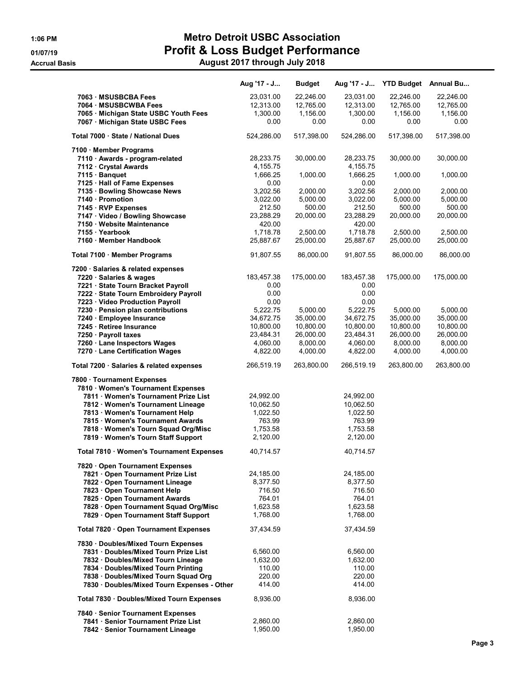### 1:06 PM Metro Detroit USBC Association 01/07/19 **Profit & Loss Budget Performance** Accrual Basis August 2017 through July 2018

|                                                                            | Aug '17 - J           | <b>Budget</b> | Aug '17 - J           |                       | YTD Budget Annual Bu  |
|----------------------------------------------------------------------------|-----------------------|---------------|-----------------------|-----------------------|-----------------------|
| 7063 · MSUSBCBA Fees                                                       | 23,031.00             | 22,246.00     | 23,031.00             | 22,246.00             | 22,246.00             |
| 7064 · MSUSBCWBA Fees                                                      | 12,313.00             | 12,765.00     | 12,313.00             | 12,765.00             | 12,765.00             |
| 7065 · Michigan State USBC Youth Fees                                      | 1,300.00              | 1,156.00      | 1,300.00              | 1,156.00              | 1,156.00              |
| 7067 Michigan State USBC Fees                                              | 0.00                  | 0.00          | 0.00                  | 0.00                  | 0.00                  |
| Total 7000 · State / National Dues                                         | 524,286.00            | 517,398.00    | 524,286.00            | 517,398.00            | 517,398.00            |
| 7100 · Member Programs                                                     |                       |               |                       |                       |                       |
| 7110 · Awards - program-related                                            | 28,233.75             | 30,000.00     | 28,233.75             | 30,000.00             | 30,000.00             |
| 7112 · Crystal Awards                                                      | 4,155.75              |               | 4,155.75              |                       |                       |
| 7115 · Banquet                                                             | 1,666.25              | 1,000.00      | 1,666.25              | 1,000.00              | 1,000.00              |
| 7125 · Hall of Fame Expenses                                               | 0.00                  |               | 0.00                  |                       |                       |
| 7135 · Bowling Showcase News                                               | 3,202.56              | 2,000.00      | 3,202.56              | 2,000.00              | 2,000.00              |
| 7140 · Promotion                                                           | 3,022.00              | 5,000.00      | 3,022.00              | 5,000.00              | 5,000.00              |
| 7145 · RVP Expenses                                                        | 212.50                | 500.00        | 212.50                | 500.00                | 500.00                |
| 7147 · Video / Bowling Showcase                                            | 23,288.29             | 20,000.00     | 23,288.29             | 20,000.00             | 20,000.00             |
| 7150 · Website Maintenance                                                 | 420.00<br>1,718.78    | 2,500.00      | 420.00<br>1,718.78    | 2,500.00              | 2,500.00              |
| 7155 · Yearbook<br>7160 · Member Handbook                                  | 25,887.67             | 25,000.00     | 25,887.67             | 25,000.00             | 25,000.00             |
|                                                                            |                       |               |                       |                       |                       |
| Total 7100 · Member Programs                                               | 91,807.55             | 86,000.00     | 91,807.55             | 86,000.00             | 86,000.00             |
| 7200 · Salaries & related expenses                                         |                       |               |                       |                       |                       |
| 7220 · Salaries & wages                                                    | 183,457.38            | 175,000.00    | 183,457.38            | 175,000.00            | 175,000.00            |
| 7221 · State Tourn Bracket Payroll                                         | 0.00                  |               | 0.00                  |                       |                       |
| 7222 · State Tourn Embroidery Payroll                                      | 0.00                  |               | 0.00                  |                       |                       |
| 7223 · Video Production Payroll                                            | 0.00                  | 5,000.00      | 0.00                  |                       |                       |
| 7230 · Pension plan contributions                                          | 5,222.75<br>34,672.75 | 35,000.00     | 5,222.75<br>34,672.75 | 5,000.00<br>35,000.00 | 5,000.00<br>35,000.00 |
| 7240 · Employee Insurance<br>7245 · Retiree Insurance                      | 10,800.00             | 10,800.00     | 10,800.00             | 10,800.00             | 10,800.00             |
| 7250 · Payroll taxes                                                       | 23,484.31             | 26,000.00     | 23,484.31             | 26,000.00             | 26,000.00             |
| 7260 · Lane Inspectors Wages                                               | 4,060.00              | 8,000.00      | 4,060.00              | 8,000.00              | 8,000.00              |
| 7270 · Lane Certification Wages                                            | 4,822.00              | 4,000.00      | 4,822.00              | 4,000.00              | 4,000.00              |
| Total 7200 · Salaries & related expenses                                   | 266,519.19            | 263,800.00    | 266,519.19            | 263,800.00            | 263,800.00            |
| 7800 · Tournament Expenses                                                 |                       |               |                       |                       |                       |
| 7810 · Women's Tournament Expenses                                         |                       |               |                       |                       |                       |
| 7811 · Women's Tournament Prize List                                       | 24,992.00             |               | 24,992.00             |                       |                       |
| 7812 · Women's Tournament Lineage                                          | 10,062.50             |               | 10,062.50             |                       |                       |
| 7813 Women's Tournament Help                                               | 1,022.50              |               | 1,022.50              |                       |                       |
| 7815 · Women's Tournament Awards                                           | 763.99                |               | 763.99                |                       |                       |
| 7818 · Women's Tourn Squad Org/Misc                                        | 1,753.58              |               | 1,753.58              |                       |                       |
| 7819 · Women's Tourn Staff Support                                         | 2,120.00              |               | 2,120.00              |                       |                       |
| Total 7810 · Women's Tournament Expenses                                   | 40,714.57             |               | 40,714.57             |                       |                       |
| 7820 Open Tournament Expenses                                              |                       |               |                       |                       |                       |
| 7821 Open Tournament Prize List                                            | 24,185.00             |               | 24,185.00             |                       |                       |
| 7822 Open Tournament Lineage                                               | 8,377.50              |               | 8,377.50              |                       |                       |
| 7823 Open Tournament Help                                                  | 716.50                |               | 716.50                |                       |                       |
| 7825 Open Tournament Awards                                                | 764.01                |               | 764.01                |                       |                       |
| 7828 Open Tournament Squad Org/Misc<br>7829 Open Tournament Staff Support  | 1,623.58<br>1,768.00  |               | 1,623.58<br>1,768.00  |                       |                       |
| Total 7820 · Open Tournament Expenses                                      | 37,434.59             |               | 37,434.59             |                       |                       |
|                                                                            |                       |               |                       |                       |                       |
| 7830 · Doubles/Mixed Tourn Expenses<br>7831 Doubles/Mixed Tourn Prize List | 6,560.00              |               | 6,560.00              |                       |                       |
| 7832 Doubles/Mixed Tourn Lineage                                           | 1,632.00              |               | 1,632.00              |                       |                       |
| 7834 · Doubles/Mixed Tourn Printing                                        | 110.00                |               | 110.00                |                       |                       |
| 7838 · Doubles/Mixed Tourn Squad Org                                       | 220.00                |               | 220.00                |                       |                       |
| 7830 · Doubles/Mixed Tourn Expenses - Other                                | 414.00                |               | 414.00                |                       |                       |
|                                                                            |                       |               |                       |                       |                       |
| Total 7830 · Doubles/Mixed Tourn Expenses                                  | 8,936.00              |               | 8,936.00              |                       |                       |
| 7840 · Senior Tournament Expenses                                          |                       |               |                       |                       |                       |
| 7841 · Senior Tournament Prize List                                        | 2,860.00              |               | 2,860.00              |                       |                       |
| 7842 · Senior Tournament Lineage                                           | 1,950.00              |               | 1,950.00              |                       |                       |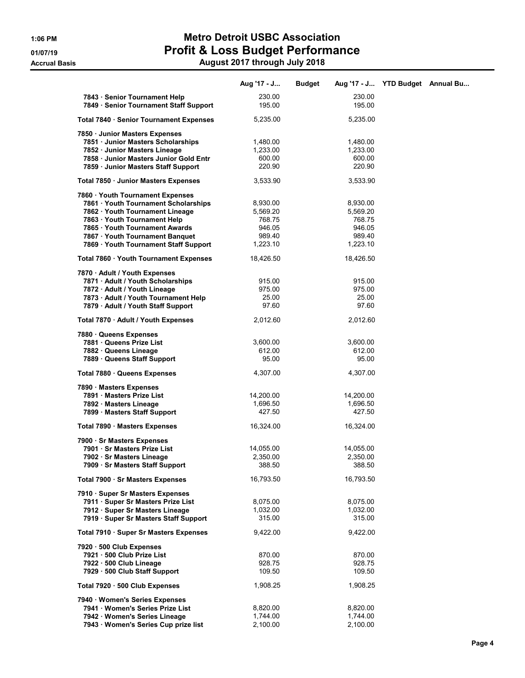# 1:06 PM Metro Detroit USBC Association 01/07/19 Profit & Loss Budget Performance

7858 · Junior Masters Junior Gold Entr 600.00 600.00 7859 · Junior Masters Staff Support 220.90 220.90

| August 2017 through July 2018 |               |          |  |                                  |  |  |  |
|-------------------------------|---------------|----------|--|----------------------------------|--|--|--|
| Aug '17 - J                   | <b>Budget</b> |          |  |                                  |  |  |  |
| 230.00                        |               | 230.00   |  |                                  |  |  |  |
| 195.00                        |               | 195.00   |  |                                  |  |  |  |
| 5.235.00                      |               | 5.235.00 |  |                                  |  |  |  |
|                               |               |          |  |                                  |  |  |  |
| 1.480.00                      |               | 1.480.00 |  |                                  |  |  |  |
| 1.233.00                      |               | 1.233.00 |  |                                  |  |  |  |
|                               |               |          |  | Aug '17 - J YTD Budget Annual Bu |  |  |  |

Total 7850 · Junior Masters Expenses 3,533.90 3,533.90 7860 · Youth Tournament Expenses 7861 · Youth Tournament Scholarships 8,930.00 8,930.00 7862 · Youth Tournament Lineage 5,569.20 5,569.20 7863 · Youth Tournament Help 768.75 768.75 768.75 7865 · Youth Tournament Awards 946.05 946.05 7867 · Youth Tournament Banquet 989.40 989.40 7869 · Youth Tournament Staff Support Total 7860 · Youth Tournament Expenses 18,426.50 18,426.50 7870 · Adult / Youth Expenses 7871 · Adult / Youth Scholarships **915.00** 915.00 915.00 7872 · Adult / Youth Lineage 975.00 975.00 7873 · Adult / Youth Tournament Help 25.00 25.00 7879 · Adult / Youth Staff Support Total 7870 · Adult / Youth Expenses 2,012.60 2,012.60 7880 · Queens Expenses 7881 · Queens Prize List 3,600.00 3,600.00 7882 · Queens Lineage 612.00 612.00 **7889 · Queens Staff Support 195.00 120 · 95.00 · 95.00 · 95.00 Total 7880 · Queens Expenses 4,307.00 · 4,307.00 · 4,307.00** 7890 · Masters Expenses **7891 · Masters Prize List 14,200.00** 14,200.00 14,200.00 14,200.00 14,200.00 14,200.00 14,696.50 1,696.50 1,696.50 7892 · Masters Lineage 1,696.50 7899 · Masters Staff Support 1999 · Masters Staff Support 1999 · 427.50 **Total 7890 · Masters Expenses 16,324.00** 16,324.00 16,324.00 7900 · Sr Masters Expenses 7901 · Sr Masters Prize List 14,055.00 14,055.00 7902 · Sr Masters Lineage 2,350.00 2,350.00 7909 · Sr Masters Staff Support 388.50 388.50 Total 7900 · Sr Masters Expenses 16,793.50 16,793.50 7910 · Super Sr Masters Expenses 7911 · Super Sr Masters Prize List 8,075.00 8,075.00

#### 7929 · 500 Club Staff Support 109.50 109.50 109.50 Total 7920 · 500 Club Expenses 1,908.25 1,908.25 7940 · Women's Series Expenses 7941 · Women's Series Prize List  $8,820.00$   $8,820.00$   $8,820.00$ **7942 · Women's Series Lineage 1,744.00** 1,744.00 1,744.00<br>**7943 · Women's Series Cup prize list** 2,100.00 1,7943 · 2,100.00 7943 · Women's Series Cup prize list

7920 · 500 Club Expenses

**7912 · Super Sr Masters Lineage 1,032.00** 1,032.00 1,032.00 7919 · Super Sr Masters Staff Support 315.00 315.00 Total 7910 · Super Sr Masters Expenses  $9,422.00$   $9,422.00$ 

7921 · 500 Club Prize List 670.00 870.00 7922 · 500 Club Lineage 928.75 928.75